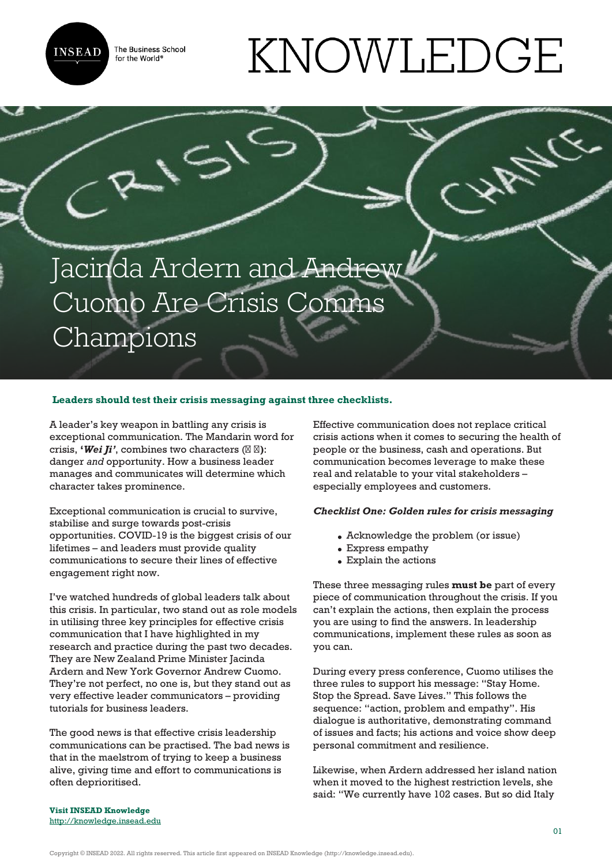**INSEAD** 

The Business School for the World<sup>®</sup>

# KNOWLEDGE

# Jacinda Ardern and Andrew Cuomo Are Crisis Comms Champions

## **Leaders should test their crisis messaging against three checklists.**

A leader's key weapon in battling any crisis is exceptional communication. The Mandarin word for crisis, **'***Wei Ji'*, combines two characters (**危 机)**: danger *and* opportunity. How a business leader manages and communicates will determine which character takes prominence.

Exceptional communication is crucial to survive, stabilise and surge towards post-crisis opportunities. COVID-19 is the biggest crisis of our lifetimes – and leaders must provide quality communications to secure their lines of effective engagement right now.

I've watched hundreds of global leaders talk about this crisis. In particular, two stand out as role models in utilising three key principles for effective crisis communication that I have highlighted in my research and practice during the past two decades. They are New Zealand Prime Minister Jacinda Ardern and New York Governor Andrew Cuomo. They're not perfect, no one is, but they stand out as very effective leader communicators – providing tutorials for business leaders.

The good news is that effective crisis leadership communications can be practised. The bad news is that in the maelstrom of trying to keep a business alive, giving time and effort to communications is often deprioritised.

Effective communication does not replace critical crisis actions when it comes to securing the health of people or the business, cash and operations. But communication becomes leverage to make these real and relatable to your vital stakeholders – especially employees and customers.

# *Checklist One: Golden rules for crisis messaging*

- Acknowledge the problem (or issue)
- Express empathy
- Explain the actions

These three messaging rules **must be** part of every piece of communication throughout the crisis. If you can't explain the actions, then explain the process you are using to find the answers. In leadership communications, implement these rules as soon as you can.

During every press conference, Cuomo utilises the three rules to support his message: "Stay Home. Stop the Spread. Save Lives." This follows the sequence: "action, problem and empathy". His dialogue is authoritative, demonstrating command of issues and facts; his actions and voice show deep personal commitment and resilience.

Likewise, when Ardern addressed her island nation when it moved to the highest restriction levels, she said: "We currently have 102 cases. But so did Italy

**Visit INSEAD Knowledge** <http://knowledge.insead.edu>

Copyright © INSEAD 2022. All rights reserved. This article first appeared on INSEAD Knowledge (http://knowledge.insead.edu).

ANY CC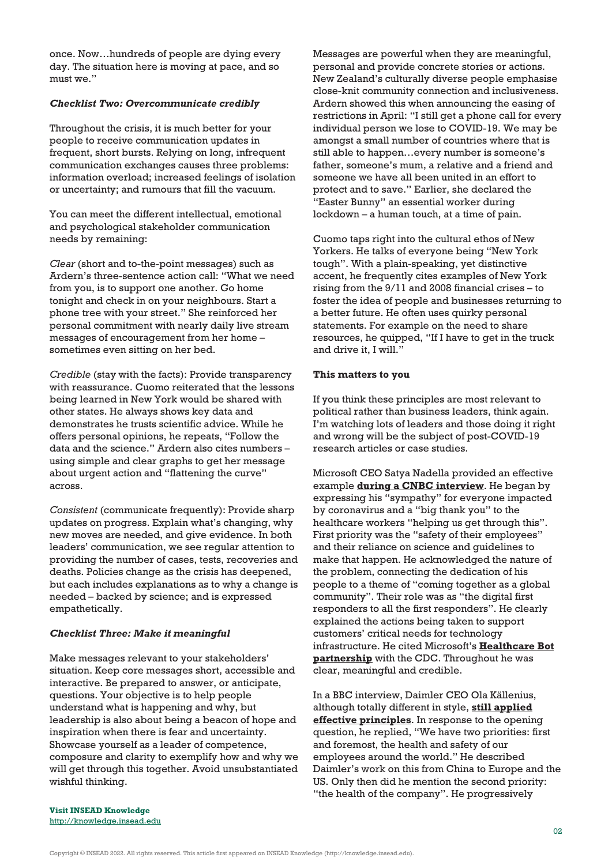once. Now…hundreds of people are dying every day. The situation here is moving at pace, and so must we."

### *Checklist Two: Overcommunicate credibly*

Throughout the crisis, it is much better for your people to receive communication updates in frequent, short bursts. Relying on long, infrequent communication exchanges causes three problems: information overload; increased feelings of isolation or uncertainty; and rumours that fill the vacuum.

You can meet the different intellectual, emotional and psychological stakeholder communication needs by remaining:

*Clear* (short and to-the-point messages) such as Ardern's three-sentence action call: "What we need from you, is to support one another. Go home tonight and check in on your neighbours. Start a phone tree with your street." She reinforced her personal commitment with nearly daily live stream messages of encouragement from her home – sometimes even sitting on her bed.

*Credible* (stay with the facts): Provide transparency with reassurance. Cuomo reiterated that the lessons being learned in New York would be shared with other states. He always shows key data and demonstrates he trusts scientific advice. While he offers personal opinions, he repeats, "Follow the data and the science." Ardern also cites numbers – using simple and clear graphs to get her message about urgent action and "flattening the curve" across.

*Consistent* (communicate frequently): Provide sharp updates on progress. Explain what's changing, why new moves are needed, and give evidence. In both leaders' communication, we see regular attention to providing the number of cases, tests, recoveries and deaths. Policies change as the crisis has deepened, but each includes explanations as to why a change is needed – backed by science; and is expressed empathetically.

#### *Checklist Three: Make it meaningful*

Make messages relevant to your stakeholders' situation. Keep core messages short, accessible and interactive. Be prepared to answer, or anticipate, questions. Your objective is to help people understand what is happening and why, but leadership is also about being a beacon of hope and inspiration when there is fear and uncertainty. Showcase yourself as a leader of competence, composure and clarity to exemplify how and why we will get through this together. Avoid unsubstantiated wishful thinking.

Messages are powerful when they are meaningful, personal and provide concrete stories or actions. New Zealand's culturally diverse people emphasise close-knit community connection and inclusiveness. Ardern showed this when announcing the easing of restrictions in April: "I still get a phone call for every individual person we lose to COVID-19. We may be amongst a small number of countries where that is still able to happen…every number is someone's father, someone's mum, a relative and a friend and someone we have all been united in an effort to protect and to save." Earlier, she declared the "Easter Bunny" an essential worker during lockdown – a human touch, at a time of pain.

Cuomo taps right into the cultural ethos of New Yorkers. He talks of everyone being "New York tough". With a plain-speaking, yet distinctive accent, he frequently cites examples of New York rising from the 9/11 and 2008 financial crises – to foster the idea of people and businesses returning to a better future. He often uses quirky personal statements. For example on the need to share resources, he quipped, "If I have to get in the truck and drive it, I will."

#### **This matters to you**

If you think these principles are most relevant to political rather than business leaders, think again. I'm watching lots of leaders and those doing it right and wrong will be the subject of post-COVID-19 research articles or case studies.

Microsoft CEO Satya Nadella provided an effective example **[during a CNBC interview](https://www.youtube.com/watch?v=H7qQSbjT1E0)**. He began by expressing his "sympathy" for everyone impacted by coronavirus and a "big thank you" to the healthcare workers "helping us get through this". First priority was the "safety of their employees" and their reliance on science and guidelines to make that happen. He acknowledged the nature of the problem, connecting the dedication of his people to a theme of "coming together as a global community". Their role was as "the digital first responders to all the first responders". He clearly explained the actions being taken to support customers' critical needs for technology infrastructure. He cited Microsoft's **[Healthcare Bot](https://blogs.microsoft.com/blog/2020/03/20/delivering-information-and-eliminating-bottlenecks-with-cdcs-covid-19-assessment-bot/) [partnership](https://blogs.microsoft.com/blog/2020/03/20/delivering-information-and-eliminating-bottlenecks-with-cdcs-covid-19-assessment-bot/)** with the CDC. Throughout he was clear, meaningful and credible.

In a BBC interview, Daimler CEO Ola Källenius, although totally different in style, **[still applied](https://www.youtube.com/watch?v=BrduxLSxTNw) [effective principles](https://www.youtube.com/watch?v=BrduxLSxTNw)**. In response to the opening question, he replied, "We have two priorities: first and foremost, the health and safety of our employees around the world." He described Daimler's work on this from China to Europe and the US. Only then did he mention the second priority: "the health of the company". He progressively

**Visit INSEAD Knowledge** <http://knowledge.insead.edu>

Copyright © INSEAD 2022. All rights reserved. This article first appeared on INSEAD Knowledge (http://knowledge.insead.edu).